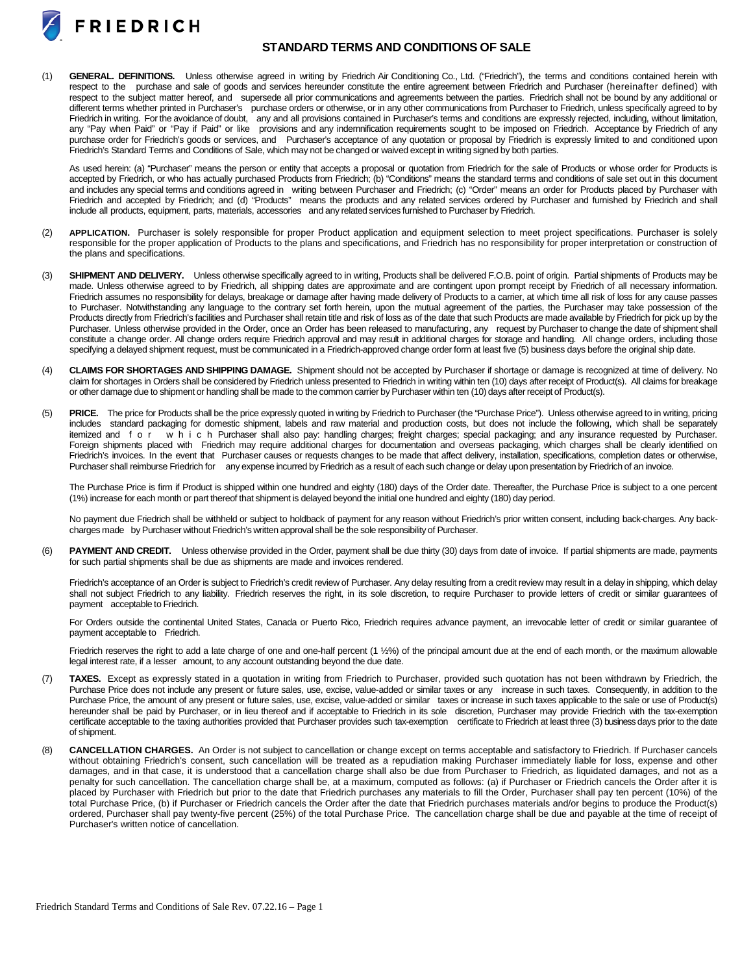

## **STANDARD TERMS AND CONDITIONS OF SALE**

(1) **GENERAL. DEFINITIONS.** Unless otherwise agreed in writing by Friedrich Air Conditioning Co., Ltd. ("Friedrich"), the terms and conditions contained herein with respect to the purchase and sale of goods and services hereunder constitute the entire agreement between Friedrich and Purchaser (hereinafter defined) with respect to the subject matter hereof, and supersede all prior communications and agreements between the parties. Friedrich shall not be bound by any additional or different terms whether printed in Purchaser's purchase orders or otherwise, or in any other communications from Purchaser to Friedrich, unless specifically agreed to by Friedrich in writing. For the avoidance of doubt, any and all provisions contained in Purchaser's terms and conditions are expressly rejected, including, without limitation, any "Pay when Paid" or "Pay if Paid" or like provisions and any indemnification requirements sought to be imposed on Friedrich. Acceptance by Friedrich of any purchase order for Friedrich's goods or services, and Purchaser's acceptance of any quotation or proposal by Friedrich is expressly limited to and conditioned upon Friedrich's Standard Terms and Conditions of Sale, which may not be changed or waived except in writing signed by both parties.

As used herein: (a) "Purchaser" means the person or entity that accepts a proposal or quotation from Friedrich for the sale of Products or whose order for Products is accepted by Friedrich, or who has actually purchased Products from Friedrich; (b) "Conditions" means the standard terms and conditions of sale set out in this document and includes any special terms and conditions agreed in writing between Purchaser and Friedrich; (c) "Order" means an order for Products placed by Purchaser with Friedrich and accepted by Friedrich; and (d) "Products" means the products and any related services ordered by Purchaser and furnished by Friedrich and shall include all products, equipment, parts, materials, accessories and any related services furnished to Purchaser by Friedrich.

- (2) **APPLICATION.** Purchaser is solely responsible for proper Product application and equipment selection to meet project specifications. Purchaser is solely responsible for the proper application of Products to the plans and specifications, and Friedrich has no responsibility for proper interpretation or construction of the plans and specifications.
- (3) **SHIPMENT AND DELIVERY.** Unless otherwise specifically agreed to in writing, Products shall be delivered F.O.B. point of origin. Partial shipments of Products may be made. Unless otherwise agreed to by Friedrich, all shipping dates are approximate and are contingent upon prompt receipt by Friedrich of all necessary information. Friedrich assumes no responsibility for delays, breakage or damage after having made delivery of Products to a carrier, at which time all risk of loss for any cause passes to Purchaser. Notwithstanding any language to the contrary set forth herein, upon the mutual agreement of the parties, the Purchaser may take possession of the Products directly from Friedrich's facilities and Purchaser shall retain title and risk of loss as of the date that such Products are made available by Friedrich for pick up by the Purchaser. Unless otherwise provided in the Order, once an Order has been released to manufacturing, any request by Purchaser to change the date of shipment shall constitute a change order. All change orders require Friedrich approval and may result in additional charges for storage and handling. All change orders, including those specifying a delayed shipment request, must be communicated in a Friedrich-approved change order form at least five (5) business days before the original ship date.
- (4) **CLAIMS FOR SHORTAGES AND SHIPPING DAMAGE.** Shipment should not be accepted by Purchaser if shortage or damage is recognized at time of delivery. No claim for shortages in Orders shall be considered by Friedrich unless presented to Friedrich in writing within ten (10) days after receipt of Product(s). All claims for breakage or other damage due to shipment or handling shall be made to the common carrier byPurchaser within ten (10) days afterreceipt of Product(s).
- (5) **PRICE.** The price for Products shall be the price expressly quoted in writing by Friedrich to Purchaser (the "Purchase Price"). Unless otherwise agreed to in writing, pricing includes standard packaging for domestic shipment, labels and raw material and production costs, but does not include the following, which shall be separately itemized and for which Purchaser shall also pay: handling charges; freight charges; special packaging; and any insurance requested by Purchaser. Foreign shipments placed with Friedrich may require additional charges for documentation and overseas packaging, which charges shall be clearly identified on Friedrich's invoices. In the event that Purchaser causes or requests changes to be made that affect delivery, installation, specifications, completion dates or otherwise, Purchaser shall reimburse Friedrich for any expense incurred by Friedrich as a result of each such change or delay upon presentation by Friedrich of an invoice.

The Purchase Price is firm if Product is shipped within one hundred and eighty (180) days of the Order date. Thereafter, the Purchase Price is subject to a one percent (1%) increase for each month or part thereof that shipment is delayed beyond the initial one hundred and eighty (180) day period.

No payment due Friedrich shall be withheld or subject to holdback of payment for any reason without Friedrich's prior written consent, including back-charges. Any backcharges made byPurchaser without Friedrich's written approval shall be the sole responsibility of Purchaser.

(6) **PAYMENT AND CREDIT.** Unless otherwise provided in the Order, payment shall be due thirty (30) days from date of invoice. If partial shipments are made, payments for such partial shipments shall be due as shipments are made and invoices rendered.

Friedrich's acceptance of an Order is subject to Friedrich's credit review of Purchaser. Any delay resulting from a credit review may result in a delay in shipping, which delay shall not subject Friedrich to any liability. Friedrich reserves the right, in its sole discretion, to require Purchaser to provide letters of credit or similar guarantees of payment acceptable to Friedrich.

For Orders outside the continental United States, Canada or Puerto Rico, Friedrich requires advance payment, an irrevocable letter of credit or similar guarantee of payment acceptable to Friedrich.

Friedrich reserves the right to add a late charge of one and one-half percent (1 1/2%) of the principal amount due at the end of each month, or the maximum allowable legal interest rate, if a lesser amount, to any account outstanding beyond the due date.

- (7) **TAXES.** Except as expressly stated in a quotation in writing from Friedrich to Purchaser, provided such quotation has not been withdrawn by Friedrich, the Purchase Price does not include any present or future sales, use, excise, value-added or similar taxes or any increase in such taxes. Consequently, in addition to the Purchase Price, the amount of any present or future sales, use, excise, value-added or similar taxes or increase in such taxes applicable to the sale or use of Product(s) hereunder shall be paid by Purchaser, or in lieu thereof and if acceptable to Friedrich in its sole discretion, Purchaser may provide Friedrich with the tax-exemption certificate acceptable to the taxing authorities provided that Purchaser provides such tax-exemption certificate to Friedrich at least three (3) business days prior to the date of shipment.
- (8) **CANCELLATION CHARGES.** An Order is not subject to cancellation or change except on terms acceptable and satisfactory to Friedrich. If Purchaser cancels without obtaining Friedrich's consent, such cancellation will be treated as a repudiation making Purchaser immediately liable for loss, expense and other damages, and in that case, it is understood that a cancellation charge shall also be due from Purchaser to Friedrich, as liquidated damages, and not as a penalty for such cancellation. The cancellation charge shall be, at a maximum, computed as follows: (a) if Purchaser or Friedrich cancels the Order after it is placed by Purchaser with Friedrich but prior to the date that Friedrich purchases any materials to fill the Order, Purchaser shall pay ten percent (10%) of the total Purchase Price, (b) if Purchaser or Friedrich cancels the Order after the date that Friedrich purchases materials and/or begins to produce the Product(s) ordered, Purchaser shall pay twenty-five percent (25%) of the total Purchase Price. The cancellation charge shall be due and payable at the time of receipt of Purchaser's written notice of cancellation.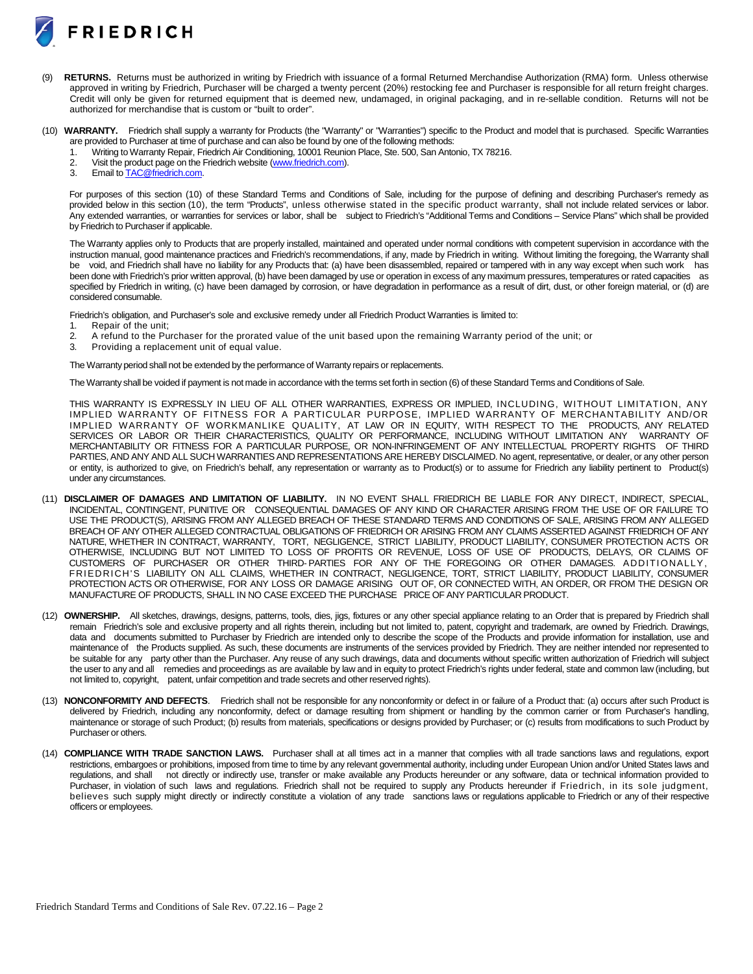

- RETURNS. Returns must be authorized in writing by Friedrich with issuance of a formal Returned Merchandise Authorization (RMA) form. Unless otherwise approved in writing by Friedrich, Purchaser will be charged a twenty percent (20%) restocking fee and Purchaser is responsible for all return freight charges. Credit will only be given for returned equipment that is deemed new, undamaged, in original packaging, and in re-sellable condition. Returns will not be authorized for merchandise that is custom or "built to order".
- (10) **WARRANTY.** Friedrich shall supply a warranty for Products (the "Warranty" or "Warranties") specific to the Product and model that is purchased. Specific Warranties are provided to Purchaser at time of purchase and can also be found by one of the following methods:
	- 1. Writing to Warranty Repair, Friedrich Air Conditioning, 10001 Reunion Place, Ste. 500, San Antonio, TX 78216.<br>2. Visit the product page on the Friedrich website (www.friedrich.com).
	- 2. Visit the product page on the Friedrich website [\(www.friedrich.com\)](http://www.friedrich.com/).<br>3. Email to TAC@friedrich.com.
	- Email t[o TAC@friedrich.com.](mailto:TAC@friedrich.com)

For purposes of this section (10) of these Standard Terms and Conditions of Sale, including for the purpose of defining and describing Purchaser's remedy as provided below in this section (10), the term "Products", unless otherwise stated in the specific product warranty, shall not include related services or labor. Any extended warranties, or warranties for services or labor, shall be subject to Friedrich's "Additional Terms and Conditions – Service Plans" which shall be provided by Friedrich to Purchaser if applicable.

The Warranty applies only to Products that are properly installed, maintained and operated under normal conditions with competent supervision in accordance with the instruction manual, good maintenance practices and Friedrich's recommendations, if any, made by Friedrich in writing. Without limiting the foregoing, the Warranty shall be void, and Friedrich shall have no liability for any Products that: (a) have been disassembled, repaired or tampered with in any way except when such work has been done with Friedrich's prior written approval, (b) have been damaged by use or operation in excess of any maximum pressures, temperatures or rated capacities as specified by Friedrich in writing, (c) have been damaged by corrosion, or have degradation in performance as a result of dirt, dust, or other foreign material, or (d) are considered consumable.

Friedrich's obligation, and Purchaser's sole and exclusive remedy under all Friedrich Product Warranties is limited to:

- 1. Repair of the unit;<br>2. A refund to the Pu
- 2. A refund to the Purchaser for the prorated value of the unit based upon the remaining Warranty period of the unit; or
- 3. Providing a replacement unit of equal value.

The Warranty period shall not be extended by the performance of Warranty repairs or replacements.

The Warranty shall be voided if payment is not made in accordance with the terms set forth in section (6) of these Standard Terms and Conditions of Sale.

THIS WARRANTY IS EXPRESSLY IN LIEU OF ALL OTHER WARRANTIES, EXPRESS OR IMPLIED, INCLUDING, WITHOUT LIMITATION, ANY IMPLIED WARRANTY OF FITNESS FOR A PARTICULAR PURPOSE, IMPLIED WARRANTY OF MERCHANTABILITY AND/OR IMPLIED WARRANTY OF WORKMANLIKE QUALITY, AT LAW OR IN EQUITY, WITH RESPECT TO THE PRODUCTS, ANY RELATED<br>SERVICES OR LABOR OR THEIR CHARACTERISTICS. QUALITY OR PERFORMANCE. INCLUDING WITHOUT LIMITATION ANY WARRANTY OF SERVICES OR LABOR OR THEIR CHARACTERISTICS, QUALITY OR PERFORMANCE, INCLUDING WITHOUT LIMITATION ANY MERCHANTABILITY OR FITNESS FOR A PARTICULAR PURPOSE, OR NON-INFRINGEMENT OF ANY INTELLECTUAL PROPERTY RIGHTS OF THIRD PARTIES, AND ANY AND ALL SUCH WARRANTIES AND REPRESENTATIONS ARE HEREBY DISCLAIMED. No agent, representative, or dealer, or any other person or entity, is authorized to give, on Friedrich's behalf, any representation or warranty as to Product(s) or to assume for Friedrich any liability pertinent to Product(s) under any circumstances.

- (11) **DISCLAIMER OF DAMAGES AND LIMITATION OF LIABILITY.** IN NO EVENT SHALL FRIEDRICH BE LIABLE FOR ANY DIRECT, INDIRECT, SPECIAL, INCIDENTAL, CONTINGENT, PUNITIVE OR CONSEQUENTIAL DAMAGES OF ANY KIND OR CHARACTER ARISING FROM THE USE OF OR FAILURE TO USE THE PRODUCT(S), ARISING FROM ANY ALLEGED BREACH OF THESE STANDARD TERMS AND CONDITIONS OF SALE, ARISING FROM ANY ALLEGED BREACH OF ANY OTHER ALLEGED CONTRACTUAL OBLIGATIONS OF FRIEDRICH OR ARISING FROM ANY CLAIMS ASSERTED AGAINST FRIEDRICH OF ANY NATURE, WHETHER IN CONTRACT, WARRANTY, TORT, NEGLIGENCE, STRICT LIABILITY, PRODUCT LIABILITY, CONSUMER PROTECTION ACTS OR OTHERWISE, INCLUDING BUT NOT LIMITED TO LOSS OF PROFITS OR REVENUE, LOSS OF USE OF PRODUCTS, DELAYS, OR CLAIMS OF CUSTOMERS OF PURCHASER OR OTHER THIRD- PARTIES FOR ANY OF THE FOREGOING OR OTHER DAMAGES. ADDITIONALLY, FRIEDRICH'S LIABILITY ON ALL CLAIMS, WHETHER IN CONTRACT, NEGLIGENCE, TORT, STRICT LIABILITY, PRODUCT LIABILITY, CONSUMER PROTECTION ACTS OR OTHERWISE, FOR ANY LOSS OR DAMAGE ARISING OUT OF, OR CONNECTED WITH, AN ORDER, OR FROM THE DESIGN OR MANUFACTURE OF PRODUCTS, SHALL IN NO CASE EXCEED THE PURCHASE PRICE OF ANY PARTICULAR PRODUCT.
- (12) **OWNERSHIP.** All sketches, drawings, designs, patterns, tools, dies, jigs, fixtures or any other special appliance relating to an Order that is prepared by Friedrich shall remain Friedrich's sole and exclusive property and all rights therein, including but not limited to, patent, copyright and trademark, are owned by Friedrich. Drawings, data and documents submitted to Purchaser by Friedrich are intended only to describe the scope of the Products and provide information for installation, use and maintenance of the Products supplied. As such, these documents are instruments of the services provided by Friedrich. They are neither intended nor represented to be suitable for any party other than the Purchaser. Any reuse of any such drawings, data and documents without specific written authorization of Friedrich will subject the user to any and all remedies and proceedings as are available by law and in equity to protect Friedrich's rights under federal, state and common law (including, but not limited to, copyright, patent, unfair competition and trade secrets and otherreserved rights).
- (13) **NONCONFORMITY AND DEFECTS**. Friedrich shall not be responsible for any nonconformity or defect in or failure of a Product that: (a) occurs after such Product is delivered by Friedrich, including any nonconformity, defect or damage resulting from shipment or handling by the common carrier or from Purchaser's handling, maintenance or storage of such Product; (b) results from materials, specifications or designs provided by Purchaser; or (c) results from modifications to such Product by Purchaser or others.
- (14) **COMPLIANCE WITH TRADE SANCTION LAWS.** Purchaser shall at all times act in a manner that complies with all trade sanctions laws and regulations, export restrictions, embargoes or prohibitions, imposed from time to time by any relevant governmental authority, including under European Union and/or United States laws and regulations, and shall not directly or indirectly use, transfer or make available any Products hereunder or any software, data or technical information provided to Purchaser, in violation of such laws and regulations. Friedrich shall not be required to supply any Products hereunder if Friedrich, in its sole judgment, believes such supply might directly or indirectly constitute a violation of any trade sanctions laws or regulations applicable to Friedrich or any of their respective officers or employees.